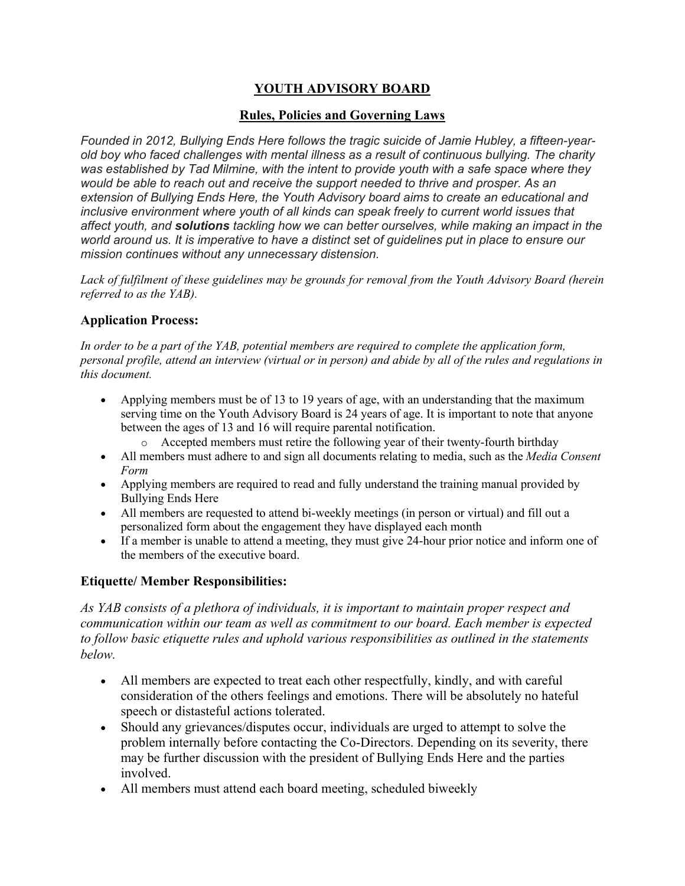# **YOUTH ADVISORY BOARD**

### **Rules, Policies and Governing Laws**

*Founded in 2012, Bullying Ends Here follows the tragic suicide of Jamie Hubley, a fifteen-yearold boy who faced challenges with mental illness as a result of continuous bullying. The charity was established by Tad Milmine, with the intent to provide youth with a safe space where they would be able to reach out and receive the support needed to thrive and prosper. As an extension of Bullying Ends Here, the Youth Advisory board aims to create an educational and inclusive environment where youth of all kinds can speak freely to current world issues that affect youth, and solutions tackling how we can better ourselves, while making an impact in the world around us. It is imperative to have a distinct set of guidelines put in place to ensure our mission continues without any unnecessary distension.*

*Lack of fulfilment of these guidelines may be grounds for removal from the Youth Advisory Board (herein referred to as the YAB).*

### **Application Process:**

*In order to be a part of the YAB, potential members are required to complete the application form, personal profile, attend an interview (virtual or in person) and abide by all of the rules and regulations in this document.*

- Applying members must be of 13 to 19 years of age, with an understanding that the maximum serving time on the Youth Advisory Board is 24 years of age. It is important to note that anyone between the ages of 13 and 16 will require parental notification.
	- o Accepted members must retire the following year of their twenty-fourth birthday
- All members must adhere to and sign all documents relating to media, such as the *Media Consent Form*
- Applying members are required to read and fully understand the training manual provided by Bullying Ends Here
- All members are requested to attend bi-weekly meetings (in person or virtual) and fill out a personalized form about the engagement they have displayed each month
- If a member is unable to attend a meeting, they must give 24-hour prior notice and inform one of the members of the executive board.

## **Etiquette/ Member Responsibilities:**

*As YAB consists of a plethora of individuals, it is important to maintain proper respect and communication within our team as well as commitment to our board. Each member is expected to follow basic etiquette rules and uphold various responsibilities as outlined in the statements below.*

- All members are expected to treat each other respectfully, kindly, and with careful consideration of the others feelings and emotions. There will be absolutely no hateful speech or distasteful actions tolerated.
- Should any grievances/disputes occur, individuals are urged to attempt to solve the problem internally before contacting the Co-Directors. Depending on its severity, there may be further discussion with the president of Bullying Ends Here and the parties involved.
- All members must attend each board meeting, scheduled biweekly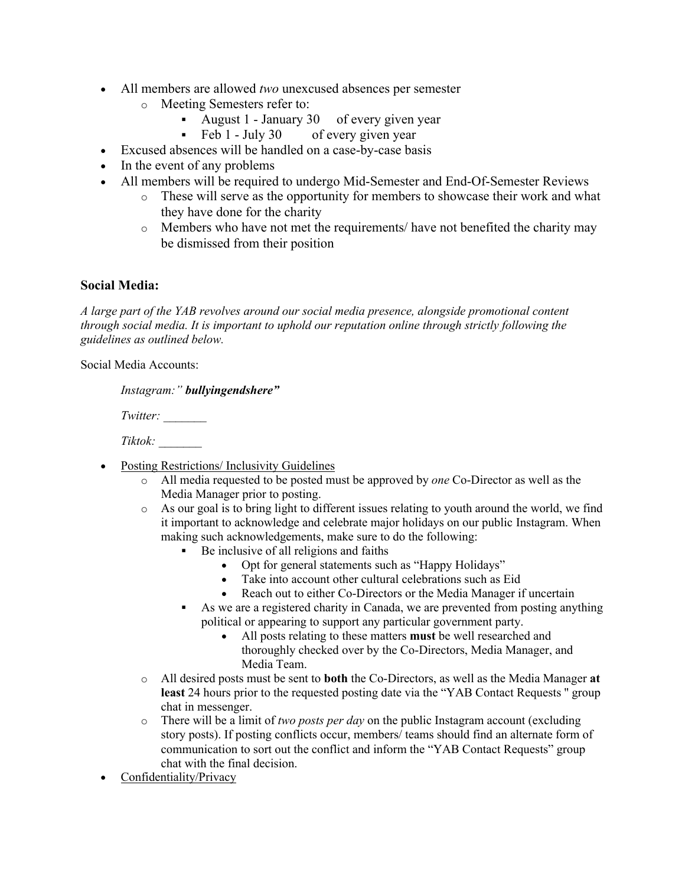- All members are allowed *two* unexcused absences per semester
	- o Meeting Semesters refer to:
		- August 1 January 30 of every given year
		- Feb 1 July 30 of every given year
- Excused absences will be handled on a case-by-case basis
- In the event of any problems
- All members will be required to undergo Mid-Semester and End-Of-Semester Reviews
	- o These will serve as the opportunity for members to showcase their work and what they have done for the charity
	- o Members who have not met the requirements/ have not benefited the charity may be dismissed from their position

### **Social Media:**

*A large part of the YAB revolves around our social media presence, alongside promotional content through social media. It is important to uphold our reputation online through strictly following the guidelines as outlined below.*

Social Media Accounts:

|          | Instagram:" bullyingendshere" |
|----------|-------------------------------|
| Twitter: |                               |

*Tiktok: \_\_\_\_\_\_\_*

- Posting Restrictions/ Inclusivity Guidelines
	- o All media requested to be posted must be approved by *one* Co-Director as well as the Media Manager prior to posting.
	- $\circ$  As our goal is to bring light to different issues relating to youth around the world, we find it important to acknowledge and celebrate major holidays on our public Instagram. When making such acknowledgements, make sure to do the following:
		- Be inclusive of all religions and faiths
			- Opt for general statements such as "Happy Holidays"
			- Take into account other cultural celebrations such as Eid
			- Reach out to either Co-Directors or the Media Manager if uncertain
		- As we are a registered charity in Canada, we are prevented from posting anything political or appearing to support any particular government party.
			- All posts relating to these matters **must** be well researched and thoroughly checked over by the Co-Directors, Media Manager, and Media Team.
	- o All desired posts must be sent to **both** the Co-Directors, as well as the Media Manager **at least** 24 hours prior to the requested posting date via the "YAB Contact Requests '' group chat in messenger.
	- o There will be a limit of *two posts per day* on the public Instagram account (excluding story posts). If posting conflicts occur, members/ teams should find an alternate form of communication to sort out the conflict and inform the "YAB Contact Requests" group chat with the final decision.
- Confidentiality/Privacy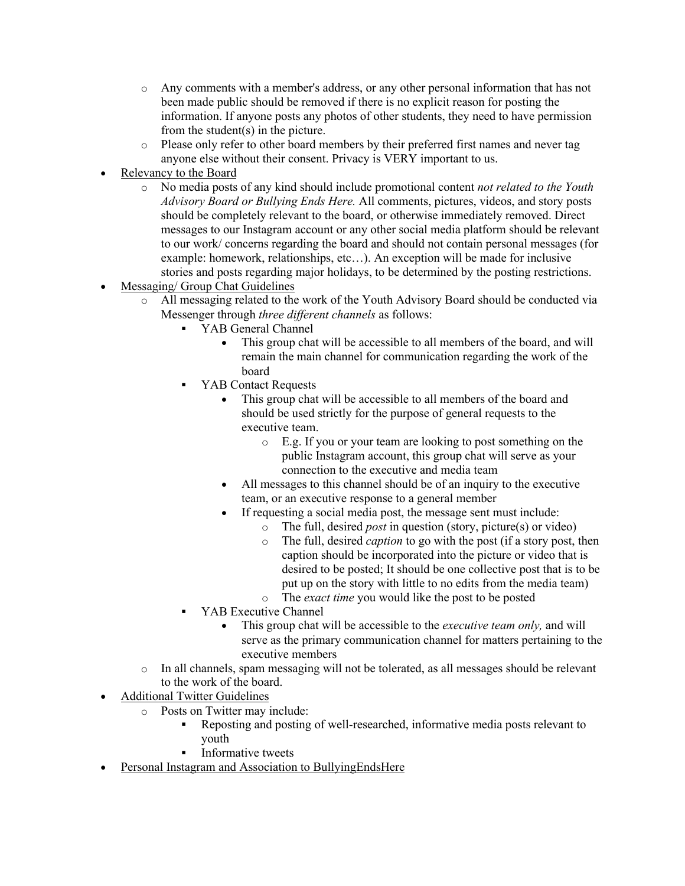- o Any comments with a member's address, or any other personal information that has not been made public should be removed if there is no explicit reason for posting the information. If anyone posts any photos of other students, they need to have permission from the student(s) in the picture.
- o Please only refer to other board members by their preferred first names and never tag anyone else without their consent. Privacy is VERY important to us.
- Relevancy to the Board
	- o No media posts of any kind should include promotional content *not related to the Youth Advisory Board or Bullying Ends Here.* All comments, pictures, videos, and story posts should be completely relevant to the board, or otherwise immediately removed. Direct messages to our Instagram account or any other social media platform should be relevant to our work/ concerns regarding the board and should not contain personal messages (for example: homework, relationships, etc...). An exception will be made for inclusive stories and posts regarding major holidays, to be determined by the posting restrictions.
- Messaging/ Group Chat Guidelines
	- o All messaging related to the work of the Youth Advisory Board should be conducted via Messenger through *three different channels* as follows:
		- § YAB General Channel
			- This group chat will be accessible to all members of the board, and will remain the main channel for communication regarding the work of the board
		- YAB Contact Requests
			- This group chat will be accessible to all members of the board and should be used strictly for the purpose of general requests to the executive team.
				- o E.g. If you or your team are looking to post something on the public Instagram account, this group chat will serve as your connection to the executive and media team
			- All messages to this channel should be of an inquiry to the executive team, or an executive response to a general member
				- If requesting a social media post, the message sent must include:
					- o The full, desired *post* in question (story, picture(s) or video)
					- o The full, desired *caption* to go with the post (if a story post, then caption should be incorporated into the picture or video that is desired to be posted; It should be one collective post that is to be put up on the story with little to no edits from the media team)
					- o The *exact time* you would like the post to be posted
		- YAB Executive Channel
			- This group chat will be accessible to the *executive team only,* and will serve as the primary communication channel for matters pertaining to the executive members
	- $\circ$  In all channels, spam messaging will not be tolerated, as all messages should be relevant to the work of the board.
- Additional Twitter Guidelines
	- o Posts on Twitter may include:
		- § Reposting and posting of well-researched, informative media posts relevant to youth
		- Informative tweets
- Personal Instagram and Association to BullyingEndsHere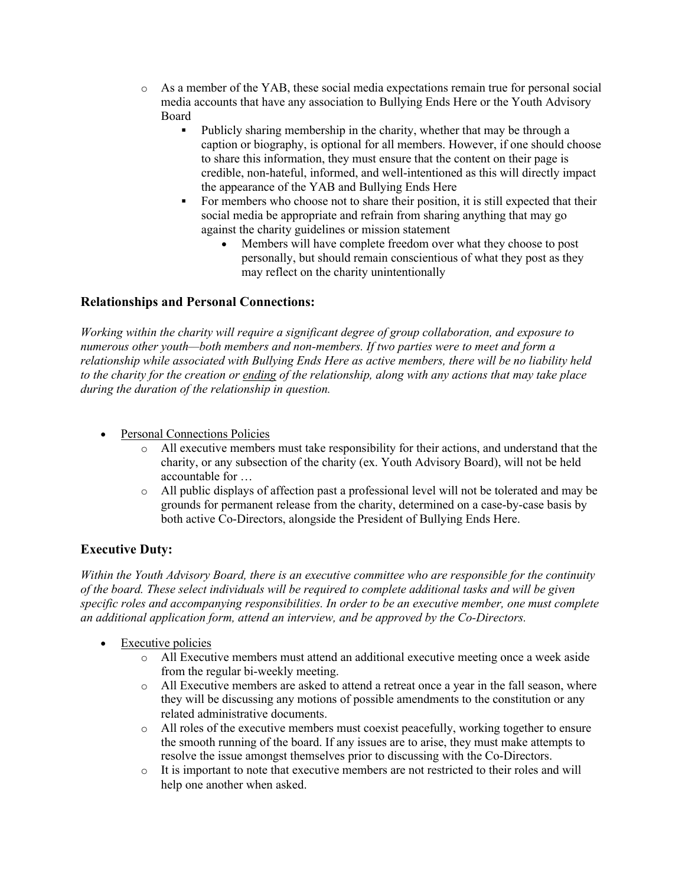- o As a member of the YAB, these social media expectations remain true for personal social media accounts that have any association to Bullying Ends Here or the Youth Advisory Board
	- § Publicly sharing membership in the charity, whether that may be through a caption or biography, is optional for all members. However, if one should choose to share this information, they must ensure that the content on their page is credible, non-hateful, informed, and well-intentioned as this will directly impact the appearance of the YAB and Bullying Ends Here
	- For members who choose not to share their position, it is still expected that their social media be appropriate and refrain from sharing anything that may go against the charity guidelines or mission statement<br>• Members will have complete freedom over
		- Members will have complete freedom over what they choose to post personally, but should remain conscientious of what they post as they may reflect on the charity unintentionally

## **Relationships and Personal Connections:**

*Working within the charity will require a significant degree of group collaboration, and exposure to numerous other youth—both members and non-members. If two parties were to meet and form a relationship while associated with Bullying Ends Here as active members, there will be no liability held to the charity for the creation or ending of the relationship, along with any actions that may take place during the duration of the relationship in question.*

- Personal Connections Policies
	- $\circ$  All executive members must take responsibility for their actions, and understand that the charity, or any subsection of the charity (ex. Youth Advisory Board), will not be held accountable for …
	- o All public displays of affection past a professional level will not be tolerated and may be grounds for permanent release from the charity, determined on a case-by-case basis by both active Co-Directors, alongside the President of Bullying Ends Here.

## **Executive Duty:**

*Within the Youth Advisory Board, there is an executive committee who are responsible for the continuity of the board. These select individuals will be required to complete additional tasks and will be given specific roles and accompanying responsibilities. In order to be an executive member, one must complete an additional application form, attend an interview, and be approved by the Co-Directors.*

- Executive policies
	- o All Executive members must attend an additional executive meeting once a week aside from the regular bi-weekly meeting.
	- o All Executive members are asked to attend a retreat once a year in the fall season, where they will be discussing any motions of possible amendments to the constitution or any related administrative documents.
	- o All roles of the executive members must coexist peacefully, working together to ensure the smooth running of the board. If any issues are to arise, they must make attempts to resolve the issue amongst themselves prior to discussing with the Co-Directors.
	- o It is important to note that executive members are not restricted to their roles and will help one another when asked.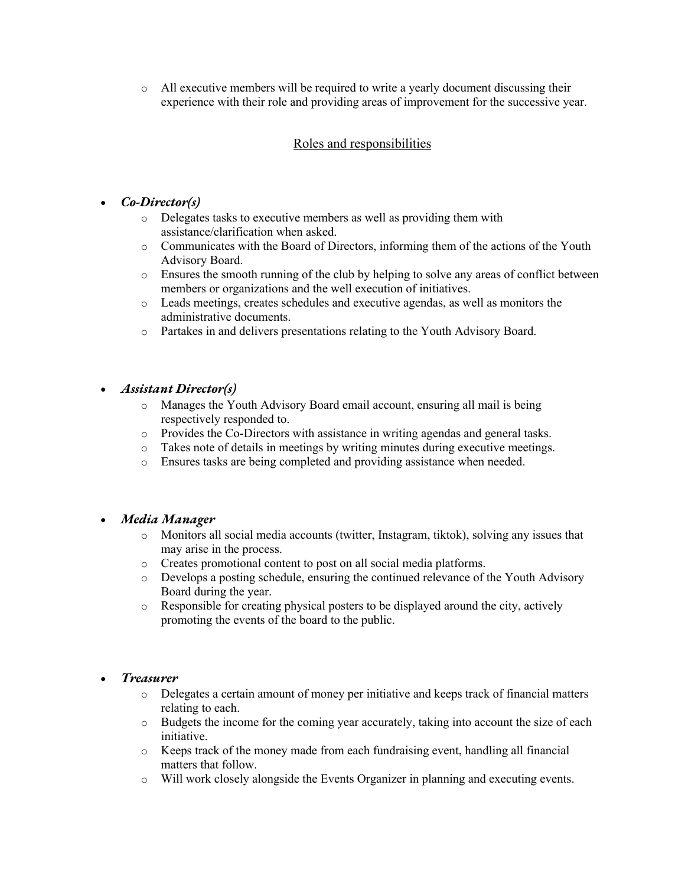o All executive members will be required to write a yearly document discussing their experience with their role and providing areas of improvement for the successive year.

### Roles and responsibilities

### • *Co-Director(s)*

- o Delegates tasks to executive members as well as providing them with assistance/clarification when asked.
- o Communicates with the Board of Directors, informing them of the actions of the Youth Advisory Board.
- o Ensures the smooth running of the club by helping to solve any areas of conflict between members or organizations and the well execution of initiatives.
- o Leads meetings, creates schedules and executive agendas, as well as monitors the administrative documents.
- o Partakes in and delivers presentations relating to the Youth Advisory Board.

#### • *Assistant Director(s)*

- o Manages the Youth Advisory Board email account, ensuring all mail is being respectively responded to.
- o Provides the Co-Directors with assistance in writing agendas and general tasks.
- o Takes note of details in meetings by writing minutes during executive meetings.
- o Ensures tasks are being completed and providing assistance when needed.

### • *Media Manager*

- o Monitors all social media accounts (twitter, Instagram, tiktok), solving any issues that may arise in the process.
- o Creates promotional content to post on all social media platforms.
- o Develops a posting schedule, ensuring the continued relevance of the Youth Advisory Board during the year.
- o Responsible for creating physical posters to be displayed around the city, actively promoting the events of the board to the public.

#### • *Treasurer*

- o Delegates a certain amount of money per initiative and keeps track of financial matters relating to each.
- o Budgets the income for the coming year accurately, taking into account the size of each initiative.
- o Keeps track of the money made from each fundraising event, handling all financial matters that follow.
- o Will work closely alongside the Events Organizer in planning and executing events.